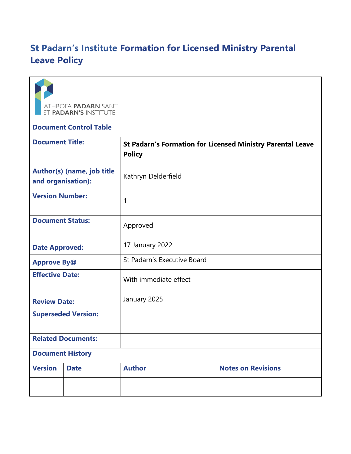## **St Padarn's Institute Formation for Licensed Ministry Parental Leave Policy**



## **Document Control Table**

| <b>Document Title:</b>                           |             | <b>St Padarn's Formation for Licensed Ministry Parental Leave</b><br><b>Policy</b> |                           |
|--------------------------------------------------|-------------|------------------------------------------------------------------------------------|---------------------------|
| Author(s) (name, job title<br>and organisation): |             | Kathryn Delderfield                                                                |                           |
| <b>Version Number:</b>                           |             | 1                                                                                  |                           |
| <b>Document Status:</b>                          |             | Approved                                                                           |                           |
| <b>Date Approved:</b>                            |             | 17 January 2022                                                                    |                           |
| <b>Approve By@</b>                               |             | St Padarn's Executive Board                                                        |                           |
| <b>Effective Date:</b>                           |             | With immediate effect                                                              |                           |
| <b>Review Date:</b>                              |             | January 2025                                                                       |                           |
| <b>Superseded Version:</b>                       |             |                                                                                    |                           |
| <b>Related Documents:</b>                        |             |                                                                                    |                           |
| <b>Document History</b>                          |             |                                                                                    |                           |
| <b>Version</b>                                   | <b>Date</b> | <b>Author</b>                                                                      | <b>Notes on Revisions</b> |
|                                                  |             |                                                                                    |                           |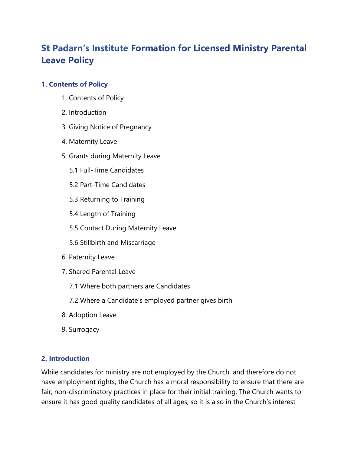# **St Padarn's Institute Formation for Licensed Ministry Parental Leave Policy**

### **1. Contents of Policy**

- 1. Contents of Policy
- 2. Introduction
- 3. Giving Notice of Pregnancy
- 4. Maternity Leave
- 5. Grants during Maternity Leave
	- 5.1 Full-Time Candidates
	- 5.2 Part-Time Candidates
	- 5.3 Returning to Training
	- 5.4 Length of Training
	- 5.5 Contact During Maternity Leave
	- 5.6 Stillbirth and Miscarriage
- 6. Paternity Leave
- 7. Shared Parental Leave
	- 7.1 Where both partners are Candidates
	- 7.2 Where a Candidate's employed partner gives birth
- 8. Adoption Leave
- 9. Surrogacy

#### **2. Introduction**

While candidates for ministry are not employed by the Church, and therefore do not have employment rights, the Church has a moral responsibility to ensure that there are fair, non-discriminatory practices in place for their initial training. The Church wants to ensure it has good quality candidates of all ages, so it is also in the Church's interest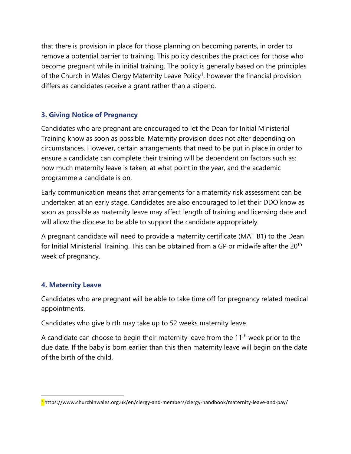that there is provision in place for those planning on becoming parents, in order to remove a potential barrier to training. This policy describes the practices for those who become pregnant while in initial training. The policy is generally based on the principles of the Church in Wales Clergy Maternity Leave Policy<sup>1</sup>, however the financial provision differs as candidates receive a grant rather than a stipend.

## **3. Giving Notice of Pregnancy**

Candidates who are pregnant are encouraged to let the Dean for Initial Ministerial Training know as soon as possible. Maternity provision does not alter depending on circumstances. However, certain arrangements that need to be put in place in order to ensure a candidate can complete their training will be dependent on factors such as: how much maternity leave is taken, at what point in the year, and the academic programme a candidate is on.

Early communication means that arrangements for a maternity risk assessment can be undertaken at an early stage. Candidates are also encouraged to let their DDO know as soon as possible as maternity leave may affect length of training and licensing date and will allow the diocese to be able to support the candidate appropriately.

A pregnant candidate will need to provide a maternity certificate (MAT B1) to the Dean for Initial Ministerial Training. This can be obtained from a GP or midwife after the 20<sup>th</sup> week of pregnancy.

#### **4. Maternity Leave**

Candidates who are pregnant will be able to take time off for pregnancy related medical appointments.

Candidates who give birth may take up to 52 weeks maternity leave.

A candidate can choose to begin their maternity leave from the  $11<sup>th</sup>$  week prior to the due date. If the baby is born earlier than this then maternity leave will begin on the date of the birth of the child.

<sup>&</sup>lt;sup>1</sup>https://www.churchinwales.org.uk/en/clergy-and-members/clergy-handbook/maternity-leave-and-pay/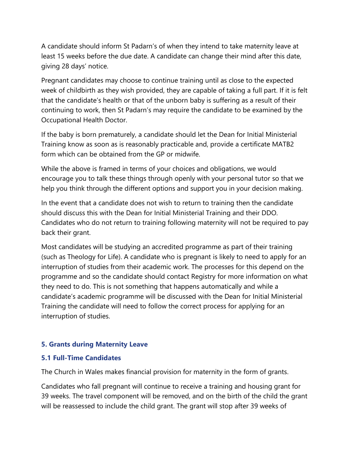A candidate should inform St Padarn's of when they intend to take maternity leave at least 15 weeks before the due date. A candidate can change their mind after this date, giving 28 days' notice.

Pregnant candidates may choose to continue training until as close to the expected week of childbirth as they wish provided, they are capable of taking a full part. If it is felt that the candidate's health or that of the unborn baby is suffering as a result of their continuing to work, then St Padarn's may require the candidate to be examined by the Occupational Health Doctor.

If the baby is born prematurely, a candidate should let the Dean for Initial Ministerial Training know as soon as is reasonably practicable and, provide a certificate MATB2 form which can be obtained from the GP or midwife.

While the above is framed in terms of your choices and obligations, we would encourage you to talk these things through openly with your personal tutor so that we help you think through the different options and support you in your decision making.

In the event that a candidate does not wish to return to training then the candidate should discuss this with the Dean for Initial Ministerial Training and their DDO. Candidates who do not return to training following maternity will not be required to pay back their grant.

Most candidates will be studying an accredited programme as part of their training (such as Theology for Life). A candidate who is pregnant is likely to need to apply for an interruption of studies from their academic work. The processes for this depend on the programme and so the candidate should contact Registry for more information on what they need to do. This is not something that happens automatically and while a candidate's academic programme will be discussed with the Dean for Initial Ministerial Training the candidate will need to follow the correct process for applying for an interruption of studies.

#### **5. Grants during Maternity Leave**

#### **5.1 Full-Time Candidates**

The Church in Wales makes financial provision for maternity in the form of grants.

Candidates who fall pregnant will continue to receive a training and housing grant for 39 weeks. The travel component will be removed, and on the birth of the child the grant will be reassessed to include the child grant. The grant will stop after 39 weeks of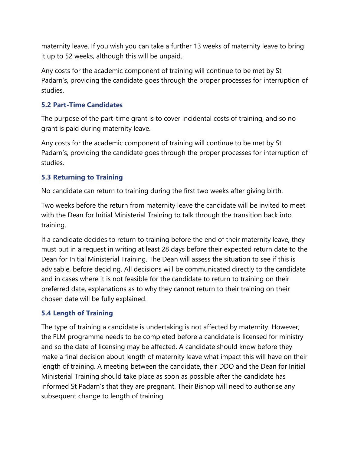maternity leave. If you wish you can take a further 13 weeks of maternity leave to bring it up to 52 weeks, although this will be unpaid.

Any costs for the academic component of training will continue to be met by St Padarn's, providing the candidate goes through the proper processes for interruption of studies.

#### **5.2 Part-Time Candidates**

The purpose of the part-time grant is to cover incidental costs of training, and so no grant is paid during maternity leave.

Any costs for the academic component of training will continue to be met by St Padarn's, providing the candidate goes through the proper processes for interruption of studies.

#### **5.3 Returning to Training**

No candidate can return to training during the first two weeks after giving birth.

Two weeks before the return from maternity leave the candidate will be invited to meet with the Dean for Initial Ministerial Training to talk through the transition back into training.

If a candidate decides to return to training before the end of their maternity leave, they must put in a request in writing at least 28 days before their expected return date to the Dean for Initial Ministerial Training. The Dean will assess the situation to see if this is advisable, before deciding. All decisions will be communicated directly to the candidate and in cases where it is not feasible for the candidate to return to training on their preferred date, explanations as to why they cannot return to their training on their chosen date will be fully explained.

#### **5.4 Length of Training**

The type of training a candidate is undertaking is not affected by maternity. However, the FLM programme needs to be completed before a candidate is licensed for ministry and so the date of licensing may be affected. A candidate should know before they make a final decision about length of maternity leave what impact this will have on their length of training. A meeting between the candidate, their DDO and the Dean for Initial Ministerial Training should take place as soon as possible after the candidate has informed St Padarn's that they are pregnant. Their Bishop will need to authorise any subsequent change to length of training.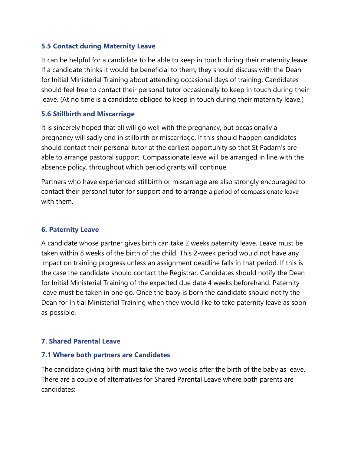#### **5.5 Contact during Maternity Leave**

It can be helpful for a candidate to be able to keep in touch during their maternity leave. If a candidate thinks it would be beneficial to them, they should discuss with the Dean for Initial Ministerial Training about attending occasional days of training. Candidates should feel free to contact their personal tutor occasionally to keep in touch during their leave. (At no time is a candidate obliged to keep in touch during their maternity leave.)

#### **5.6 Stillbirth and Miscarriage**

It is sincerely hoped that all will go well with the pregnancy, but occasionally a pregnancy will sadly end in stillbirth or miscarriage. If this should happen candidates should contact their personal tutor at the earliest opportunity so that St Padarn's are able to arrange pastoral support. Compassionate leave will be arranged in line with the absence policy, throughout which period grants will continue.

Partners who have experienced stillbirth or miscarriage are also strongly encouraged to contact their personal tutor for support and to arrange a period of compassionate leave with them.

#### **6. Paternity Leave**

A candidate whose partner gives birth can take 2 weeks paternity leave. Leave must be taken within 8 weeks of the birth of the child. This 2-week period would not have any impact on training progress unless an assignment deadline falls in that period. If this is the case the candidate should contact the Registrar. Candidates should notify the Dean for Initial Ministerial Training of the expected due date 4 weeks beforehand. Paternity leave must be taken in one go. Once the baby is born the candidate should notify the Dean for Initial Ministerial Training when they would like to take paternity leave as soon as possible.

#### **7. Shared Parental Leave**

#### **7.1 Where both partners are Candidates**

The candidate giving birth must take the two weeks after the birth of the baby as leave. There are a couple of alternatives for Shared Parental Leave where both parents are candidates: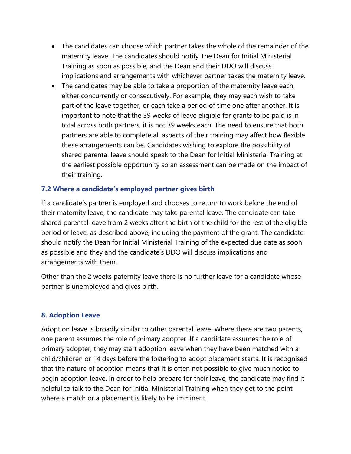- The candidates can choose which partner takes the whole of the remainder of the maternity leave. The candidates should notify The Dean for Initial Ministerial Training as soon as possible, and the Dean and their DDO will discuss implications and arrangements with whichever partner takes the maternity leave.
- The candidates may be able to take a proportion of the maternity leave each, either concurrently or consecutively. For example, they may each wish to take part of the leave together, or each take a period of time one after another. It is important to note that the 39 weeks of leave eligible for grants to be paid is in total across both partners, it is not 39 weeks each. The need to ensure that both partners are able to complete all aspects of their training may affect how flexible these arrangements can be. Candidates wishing to explore the possibility of shared parental leave should speak to the Dean for Initial Ministerial Training at the earliest possible opportunity so an assessment can be made on the impact of their training.

#### **7.2 Where a candidate's employed partner gives birth**

If a candidate's partner is employed and chooses to return to work before the end of their maternity leave, the candidate may take parental leave. The candidate can take shared parental leave from 2 weeks after the birth of the child for the rest of the eligible period of leave, as described above, including the payment of the grant. The candidate should notify the Dean for Initial Ministerial Training of the expected due date as soon as possible and they and the candidate's DDO will discuss implications and arrangements with them.

Other than the 2 weeks paternity leave there is no further leave for a candidate whose partner is unemployed and gives birth.

#### **8. Adoption Leave**

Adoption leave is broadly similar to other parental leave. Where there are two parents, one parent assumes the role of primary adopter. If a candidate assumes the role of primary adopter, they may start adoption leave when they have been matched with a child/children or 14 days before the fostering to adopt placement starts. It is recognised that the nature of adoption means that it is often not possible to give much notice to begin adoption leave. In order to help prepare for their leave, the candidate may find it helpful to talk to the Dean for Initial Ministerial Training when they get to the point where a match or a placement is likely to be imminent.